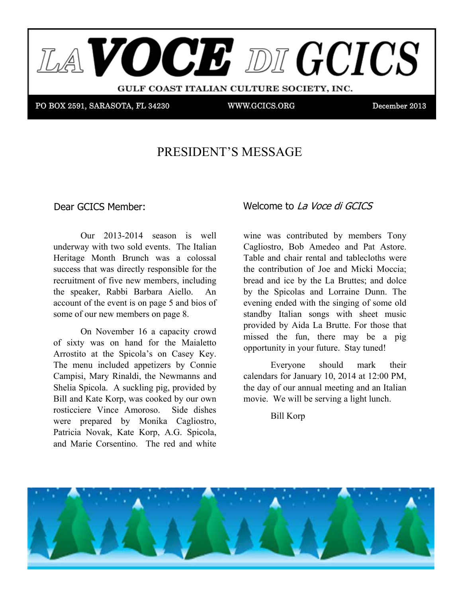

#### PRESIDENT'S MESSAGE ing forward to participating in a number of exciting GCICS without. Members will recall that at the same and layout. Members will recall that at the same at the same at the same at the same at the same at the same at the same at the same at the same at the same at the same at the

Dear GCICS Member:

Renewal Bill to each 2012 member or couple. The bill will forward to the Italian Heritage Month  $U(1)$  2015-2014 SCASUI IS WELL underway with two sold events. The Italian  $\frac{1}{2015-2014}$  season is well Heritage Month Brunch was a colossal success that was directly responsible for the  $t_{\text{re}}$  and  $\text{re}_t$  and  $\text{re}_t$  and  $\text{re}_t$  are  $\text{re}_t$  and  $\text{re}_t$  and  $\text{re}_t$  and  $\text{re}_t$ Execution of the new members, including<br>the greeker. Behbi, Berbere, Aielle the speaker, Rabbi Barbara Aiello. An  $\frac{1}{2}$  account of the event is on page 5 and bios of  $\overline{A}$  you know  $\overline{A}$ Our  $2013-2014$  season is well some of our new members on page  $\overline{s}$  and stop of some of our new members on page  $\overline{s}$ .  $p_{\text{max}}$  of  $\sigma_{\text{max}}$  memories on  $p_{\text{max}}$  or

On November 16 a capacity crowd of sixty was on hand for the Maialetto  $\frac{1}{\sqrt{2}}$  manner. In the manner will know  $\frac{1}{\sqrt{2}}$  will know  $\frac{1}{\sqrt{2}}$  and  $\frac{1}{\sqrt{2}}$  and  $\frac{1}{\sqrt{2}}$  and  $\frac{1}{\sqrt{2}}$  and  $\frac{1}{\sqrt{2}}$  and  $\frac{1}{\sqrt{2}}$  and  $\frac{1}{\sqrt{2}}$  and  $\frac{1}{\sqrt{2}}$  and  $\frac{1}{\sqrt{2}}$  and Arrostito at the Spicola's on Casey Key. Alfostito at the spicolars on Casey Rey.<br>The menu included appetizers by Connie nic inchu included appenders by Connie<br>Campisi, Mary Rinaldi, the Newmanns and  $m_{\text{eff}}$  bill and Kate Korp, was cooked by our own zm and rade resp, was cooked by our own were prepared by Molinka Cagnosito,<br>Patricia Novak, Kate Korp, A.G. Spicola, runch Twyak, Rate Rorp, T.O. Sprood, and Marie Corsentino. The red and white campist, wary Khalah, the Tecwhalins and<br>Shelia Spicola. A suckling pig, provided by Tostreeter vince Amoroso. Suce dishes<br>were prepared by Monika Cagliostro, and there consenting. The red and while the chefs at Mattison's 41. Fortunately On November to a capacity crowd proximity was on hand for the matatement the chefs at Mattison's 41. Fortunately on November 16 a capa point sixty was on hand for the

### Dear GCICS Member: Welcome to La Voce di GCICS  $t_{\text{total}}$  to  $\Delta x$  voce  $\Delta x$  of  $\Delta x$ .

both came up with the ultimately unanimous winner, their  $\frac{1}{2}$  was contributed by memocrs for  $\frac{1}{2}$ hand Piccology Members For Tony.<br>
Lian Cagliostro, Bob Amedeo and Pat Astore. the the contribution of Joe and Micki Moccia;  $\frac{1}{\sqrt{2}}$  and  $\frac{1}{\sqrt{2}}$  by the Le Board and delay.  $\frac{1}{2}$  and  $\frac{1}{2}$  by the La Diunes, and donce by the spicolas and Lorraine Dunn. The is of evening ended with the singing of some old standby Italian songs with sheet music standby Italian songs with sheet music  $P_{\text{center}}$  is the cost is  $\frac{1}{2}$  provided by Aida La Brutte. For those that  $\frac{1}{\omega}$  owd missed the fun, there may be a pig  $\frac{1}{\omega}$ letto opportunity in your future. Stay tuned! well wine was contributed by members Tony Society will have to be the first ever (I think) were the bring in more to bring in more to bring in more to bring in more to bring in more to bring in more to bring in more to bring in more to bring in more to bring in mo  $\frac{1}{2}$  - arrow in the problem in the main structure  $\frac{1}{2}$  - arrow in the main structure of  $\frac{1}{2}$  - arrow in the main structure of  $\frac{1}{2}$  - arrow in the main structure of  $\frac{1}{2}$  - arrow in the main structu An by the Spicolas and Lorraine Dunn. The sociation by the Spicolas and Lorraine Dunn. The member sponsors to cover the cost of the contribution of the latter international, the contribution of the La Bruttes; and dolce

Everyone should mark their Everyone should mark their<br>calendars for January 10, 2014 at 12:00 PM. he day of our annual meeting and an It between the food of correlation in the form of correlation of correlation of  $\mathbb{R}^n$  and  $\mathbb{R}^n$  of correlation of correlation of correlation of chairs and  $\mathbb{R}^n$  of correlation of correlation of correlation of  $EV$  confident that the seeking that  $EV$  and  $EV$  as we are seeking as we are seeking as we are seeking as we are seeking that  $EV$  and  $EV$  as we are seeking as we are seeking as we are seeking as we are seeking as we a the day of our annual meeting and an Italian  $\frac{1}{2}$  is the cost of our annual meeting and an Italian  $\frac{1}{2}$  is the cost of our annual meeting.  $1000$   $\mu$  the their  $\frac{1}{\sqrt{2}}$  $100$  of which will go to the total go to the total go to the total go to the total go to the total go to the to the to the to the to the to the to the to the to the to the to the to the to the to the to the to the to the tables the motion of the windows that is a sign that

respondence from the sees many of the fully sponsored. The fully sponsored and the fully sponsored. The fully sponsored. The fully sponsored. The fully sponsored. The fully sponsored. The fully sponsored. The fully sponsor  $\sum_{i=1}^n$   $\sum_{i=1}^n$ 

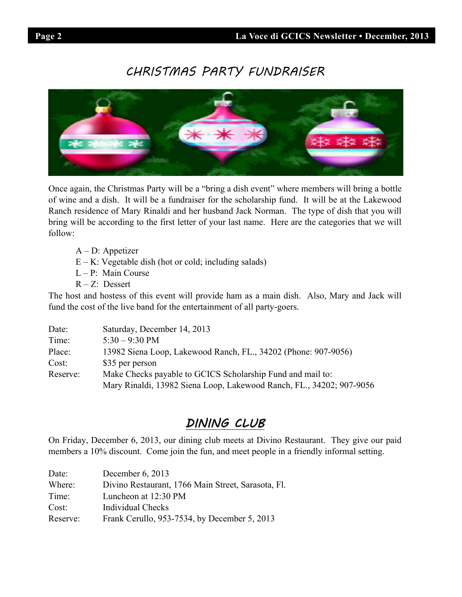# CHRISTMAS PARTY FUNDRAISER



Once again, the Christmas Party will be a "bring a dish event" where members will bring a bottle of wine and a dish. It will be a fundraiser for the scholarship fund. It will be at the Lakewood Ranch residence of Mary Rinaldi and her husband Jack Norman. The type of dish that you will bring will be according to the first letter of your last name. Here are the categories that we will follow:

- A D: Appetizer
- $E K$ : Vegetable dish (hot or cold; including salads)
- $L P$ : Main Course
- $R Z$ : Dessert

The host and hostess of this event will provide ham as a main dish. Also, Mary and Jack will fund the cost of the live band for the entertainment of all party-goers.

| Date:    | Saturday, December 14, 2013                                          |  |
|----------|----------------------------------------------------------------------|--|
| Time:    | $5:30 - 9:30 \text{ PM}$                                             |  |
| Place:   | 13982 Siena Loop, Lakewood Ranch, FL., 34202 (Phone: 907-9056)       |  |
| Cost:    | \$35 per person                                                      |  |
| Reserve: | Make Checks payable to GCICS Scholarship Fund and mail to:           |  |
|          | Mary Rinaldi, 13982 Siena Loop, Lakewood Ranch, FL., 34202; 907-9056 |  |

# DINING CLUB

On Friday, December 6, 2013, our dining club meets at Divino Restaurant. They give our paid members a 10% discount. Come join the fun, and meet people in a friendly informal setting.

| Date:    | December $6, 2013$                                 |
|----------|----------------------------------------------------|
| Where:   | Divino Restaurant, 1766 Main Street, Sarasota, Fl. |
| Time:    | Luncheon at 12:30 PM                               |
| Cost:    | Individual Checks                                  |
| Reserve: | Frank Cerullo, 953-7534, by December 5, 2013       |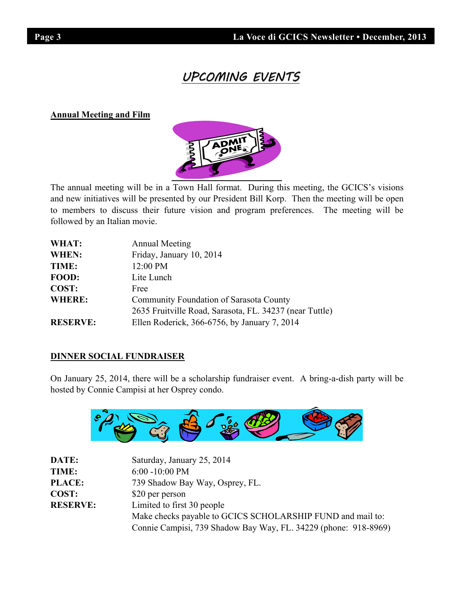# UPCOMING EVEN

# **Annual Meeting and Film**



The annual meeting will be in a Town Hall format. During this meeting, the GCICS's visions and new initiatives will be presented by our President Bill Korp. Then the meeting will be open to members to discuss their future vision and program preferences. The meeting will be followed by an Italian movie.

| WHAT:           | <b>Annual Meeting</b>                                   |
|-----------------|---------------------------------------------------------|
| <b>WHEN:</b>    | Friday, January 10, 2014                                |
| TIME:           | 12:00 PM                                                |
| FOOD:           | Lite Lunch                                              |
| COST:           | Free                                                    |
| <b>WHERE:</b>   | Community Foundation of Sarasota County                 |
|                 | 2635 Fruitville Road, Sarasota, FL. 34237 (near Tuttle) |
| <b>RESERVE:</b> | Ellen Roderick, 366-6756, by January 7, 2014            |

# **DINNER SOCIAL FUNDRAISER**

On January 25, 2014, there will be a scholarship fundraiser event. A bring-a-dish party will be hosted by Connie Campisi at her Osprey condo.



| DATE:           | Saturday, January 25, 2014                                      |
|-----------------|-----------------------------------------------------------------|
| TIME:           | $6:00 - 10:00$ PM                                               |
| <b>PLACE:</b>   | 739 Shadow Bay Way, Osprey, FL.                                 |
| COST:           | \$20 per person                                                 |
| <b>RESERVE:</b> | Limited to first 30 people                                      |
|                 | Make checks payable to GCICS SCHOLARSHIP FUND and mail to:      |
|                 | Connie Campisi, 739 Shadow Bay Way, FL. 34229 (phone: 918-8969) |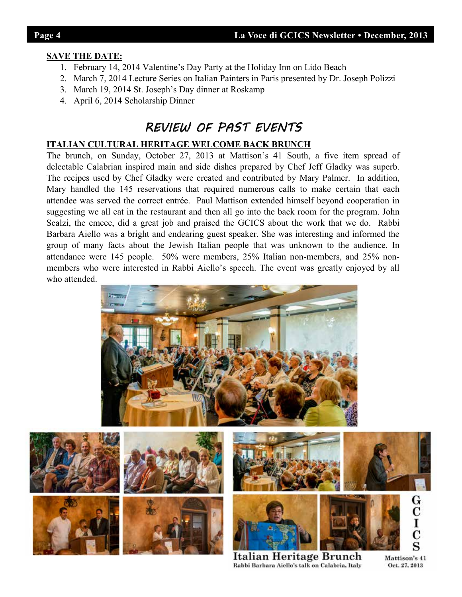# **SAVE THE DATE:**

- 1. February 14, 2014 Valentine's Day Party at the Holiday Inn on Lido Beach
- 2. March 7, 2014 Lecture Series on Italian Painters in Paris presented by Dr. Joseph Polizzi
- 3. March 19, 2014 St. Joseph's Day dinner at Roskamp
- 4. April 6, 2014 Scholarship Dinner

# REVIEW OF PAST EVENTS

# **ITALIAN CULTURAL HERITAGE WELCOME BACK BRUNCH**

The brunch, on Sunday, October 27, 2013 at Mattison's 41 South, a five item spread of delectable Calabrian inspired main and side dishes prepared by Chef Jeff Gladky was superb. The recipes used by Chef Gladky were created and contributed by Mary Palmer. In addition, Mary handled the 145 reservations that required numerous calls to make certain that each attendee was served the correct entrée. Paul Mattison extended himself beyond cooperation in suggesting we all eat in the restaurant and then all go into the back room for the program. John Scalzi, the emcee, did a great job and praised the GCICS about the work that we do. Rabbi Barbara Aiello was a bright and endearing guest speaker. She was interesting and informed the group of many facts about the Jewish Italian people that was unknown to the audience. In attendance were 145 people. 50% were members, 25% Italian non-members, and 25% nonmembers who were interested in Rabbi Aiello's speech. The event was greatly enjoyed by all who attended.













Italian Heritage Brunch Rabbi Barbara Aiello's talk on Calabria, Italy

Mattison's 41 Oct. 27, 2013

 $\begin{smallmatrix} {\mathbf{G}}\ {\mathbf{C}}\ {\mathbf{I}}\ {\mathbf{C}}\ {\mathbf{S}}\end{smallmatrix}$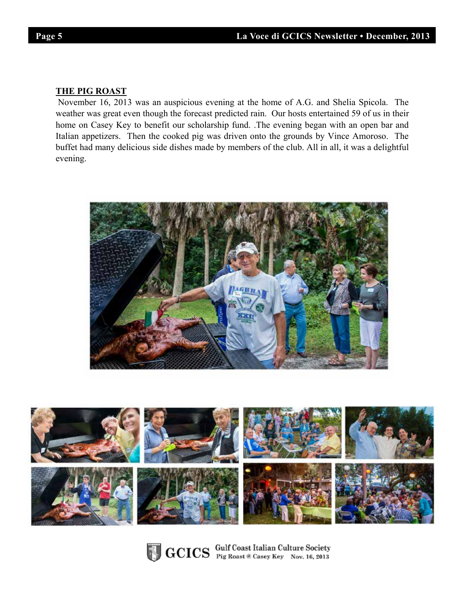I

# **THE PIG ROAST**

 November 16, 2013 was an auspicious evening at the home of A.G. and Shelia Spicola. The weather was great even though the forecast predicted rain. Our hosts entertained 59 of us in their home on Casey Key to benefit our scholarship fund. .The evening began with an open bar and Italian appetizers. Then the cooked pig was driven onto the grounds by Vince Amoroso. The buffet had many delicious side dishes made by members of the club. All in all, it was a delightful evening.







GCICS Gulf Coast Italian Culture Society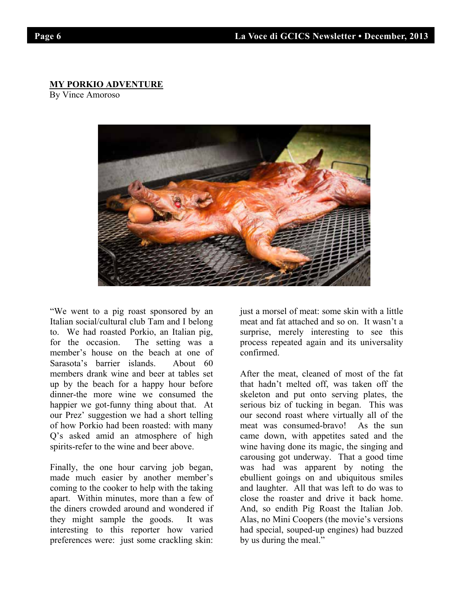# **MY PORKIO ADVENTURE**

By Vince Amoroso



"We went to a pig roast sponsored by an Italian social/cultural club Tam and I belong manan social cantaria crao Tam and I before to. We had roasted Porkio, an Italian pig,<br>for the essession. The setting was a member's house on the beach at one of hemoer's house on the beach at one of<br>Sarasota's barrier islands. About 60 burisour 3 buriter Brands. Trood too members thank whe and beer at tables set<br>up by the beach for a happy hour before dinner-the more wine we consumed the example the wine we consumed the happier we got-funny thing about that. At of how Porkio had been roasted: with many Q's asked amid an atmosphere of high z is used until in unto sphere of light spirits-refer to the wine and beer above. for the occasion. The setting was a our Prez' suggestion we had a short telling

Finally, the one hour carving job began, made much easier by another member's  $\frac{1}{2}$  coming to the cooker to help with the taking examing to the cooker to help with the taking apart. Within minutes, more than a few of the diners crowded around and wondered if they might sample the goods. It was interesting to this reporter how varied preferences were: just some crackling skin:

just a morsel of meat: some skin with a little surprise, merely interesting to see this surprise, mercry meresting to see this process repeated again and its universality<br>confirmed  $\sum_{i=1}^{\infty}$ meat and fat attached and so on. It wasn't a confirmed.

After the meat, cleaned of most of the fat that hadn't melted off, was taken off the skeleton and put onto serving plates, the secreton and put onto serving plates, the serious biz of tucking in began. This was our second roast where virtually all of the but second roast where virtually an or the meat was consumed-bravo! As the sun educed view. This the sun<br>came down, with appetites sated and the eand down, with appentes sated and the wine having done its magic, the singing and which aving donc its hagic, the singing and carousing got underway. That a good time earousing got underway. That a good time<br>was had was apparent by noting the was had was apparent by houng the ebullient goings on and ubiquitous smiles and laughter. All that was left to do was to close the roaster and drive it back home. And, so endith Pig Roast the Italian Job. Alas, no Mini Coopers (the movie's versions had special, souped-up engines) had buzzed by us during the meal."

I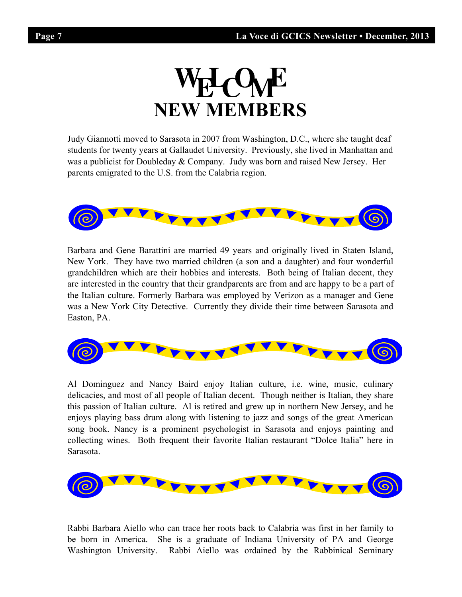

Judy Giannotti moved to Sarasota in 2007 from Washington, D.C., where she taught deaf students for twenty years at Gallaudet University. Previously, she lived in Manhattan and was a publicist for Doubleday & Company. Judy was born and raised New Jersey. Her parents emigrated to the U.S. from the Calabria region.



Barbara and Gene Barattini are married 49 years and originally lived in Staten Island, New York. They have two married children (a son and a daughter) and four wonderful grandchildren which are their hobbies and interests. Both being of Italian decent, they are interested in the country that their grandparents are from and are happy to be a part of the Italian culture. Formerly Barbara was employed by Verizon as a manager and Gene was a New York City Detective. Currently they divide their time between Sarasota and Easton, PA.



Al Dominguez and Nancy Baird enjoy Italian culture, i.e. wine, music, culinary delicacies, and most of all people of Italian decent. Though neither is Italian, they share this passion of Italian culture. Al is retired and grew up in northern New Jersey, and he enjoys playing bass drum along with listening to jazz and songs of the great American song book. Nancy is a prominent psychologist in Sarasota and enjoys painting and collecting wines. Both frequent their favorite Italian restaurant "Dolce Italia" here in Sarasota.



Rabbi Barbara Aiello who can trace her roots back to Calabria was first in her family to be born in America. She is a graduate of Indiana University of PA and George Washington University. Rabbi Aiello was ordained by the Rabbinical Seminary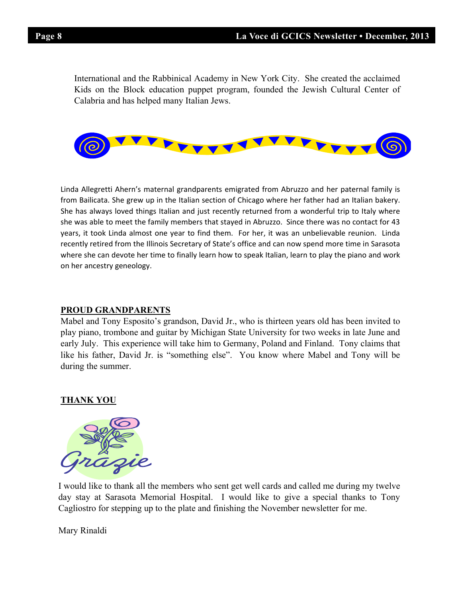International and the Rabbinical Academy in New York City. She created the acclaimed Kids on the Block education puppet program, founded the Jewish Cultural Center of Calabria and has helped many Italian Jews.



Linda Allegretti Ahern's maternal grandparents emigrated from Abruzzo and her paternal family is from Bailicata. She grew up in the Italian section of Chicago where her father had an Italian bakery. She has always loved things Italian and just recently returned from a wonderful trip to Italy where she was able to meet the family members that stayed in Abruzzo. Since there was no contact for 43 years, it took Linda almost one year to find them. For her, it was an unbelievable reunion. Linda recently retired from the Illinois Secretary of State's office and can now spend more time in Sarasota where she can devote her time to finally learn how to speak Italian, learn to play the piano and work on her ancestry geneology.

## **PROUD GRANDPARENTS**

Mabel and Tony Esposito's grandson, David Jr., who is thirteen years old has been invited to play piano, trombone and guitar by Michigan State University for two weeks in late June and early July. This experience will take him to Germany, Poland and Finland. Tony claims that like his father, David Jr. is "something else". You know where Mabel and Tony will be during the summer.

## **THANK YOU**



I would like to thank all the members who sent get well cards and called me during my twelve day stay at Sarasota Memorial Hospital. I would like to give a special thanks to Tony Cagliostro for stepping up to the plate and finishing the November newsletter for me.

Mary Rinaldi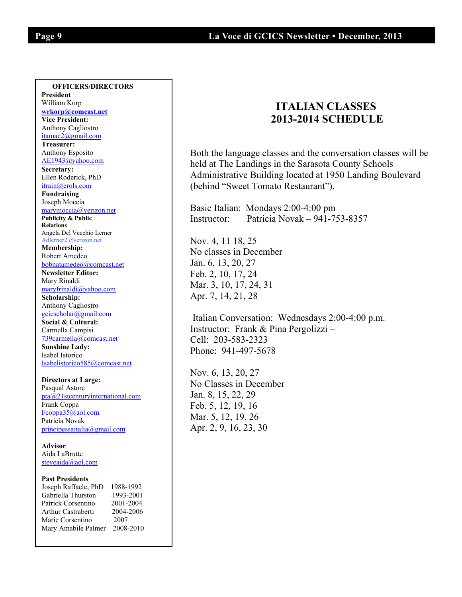$\overline{\phantom{a}}$ 

### **OFFICERS/DIRECTORS**

**President**  William Korp **wrkorp@comcast.net Vice President:** Anthony Cagliostro itamac2@gmail.com **Treasurer:**  Anthony Esposito AE1943@yahoo.com **Secretary:**  Ellen Roderick, PhD itrain@erols.com **Fundraising**  Joseph Moccia marymoccia@verizon.net **Publicity & Public Relations** Angela Del Vecchio Lerner Adlerner2@verizon.net **Membership:** Robert Amedeo bobnatamedeo@comcast.net **Newsletter Editor:** Mary Rinaldi maryfrinaldi@yahoo.com **Scholarship:** Anthony Cagliostro gcicscholar@gmail.com **Social & Cultural:** Carmella Campisi 739carmella@comcast.net **Sunshine Lady:**  Isabel Istorico Isabelistorico585@comcast.net **Directors at Large:** 

Pasqual Astore pta@21stcenturyinternational.com Frank Coppa Fcoppa35@aol.com Patricia Novak principessaitalia@gmail.com

**Advisor**  Aida LaBrutte steveaida@aol.com

### **Past Presidents**

| Joseph Raffaele, PhD | 1988-1992 |
|----------------------|-----------|
| Gabriella Thurston   | 1993-2001 |
| Patrick Corsentino   | 2001-2004 |
| Arthur Castraberti   | 2004-2006 |
| Marie Corsentino     | 2007      |
| Mary Amabile Palmer  | 2008-2010 |

# **ITALIAN CLASSES 2013-2014 SCHEDULE**

Both the language classes and the conversation classes will be held at The Landings in the Sarasota County Schools Administrative Building located at 1950 Landing Boulevard (behind "Sweet Tomato Restaurant").

Basic Italian: Mondays 2:00-4:00 pm Instructor: Patricia Novak – 941-753-8357

Nov. 4, 11 18, 25 No classes in December Jan. 6, 13, 20, 27 Feb. 2, 10, 17, 24 Mar. 3, 10, 17, 24, 31 Apr. 7, 14, 21, 28

 Italian Conversation: Wednesdays 2:00-4:00 p.m. Instructor: Frank & Pina Pergolizzi – Cell: 203-583-2323 Phone: 941-497-5678

Nov. 6, 13, 20, 27 No Classes in December Jan. 8, 15, 22, 29 Feb. 5, 12, 19, 16 Mar. 5, 12, 19, 26 Apr. 2, 9, 16, 23, 30